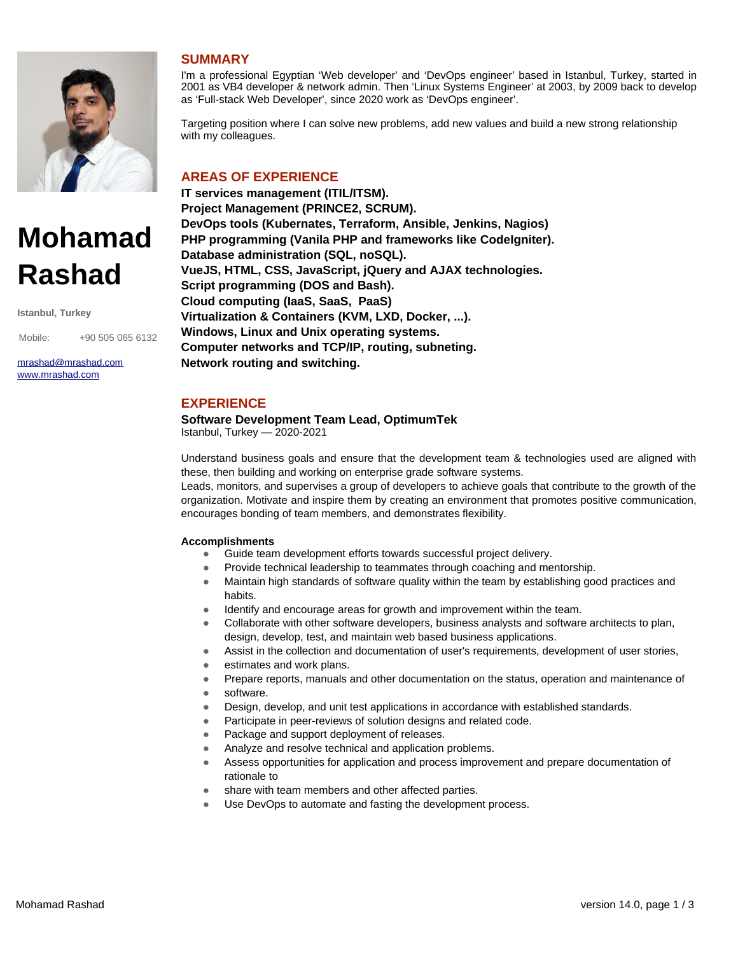

# **Mohamad Rashad**

**Istanbul, Turkey**

Mobile: +90 505 065 6132

[mrashad@mrashad.com](mailto:mrashad@mrashad.com?subject=fcv) [www.mrashad.com](https://www.mrashad.com/)

# **SUMMARY**

I'm a professional Egyptian 'Web developer' and 'DevOps engineer' based in Istanbul, Turkey, started in 2001 as VB4 developer & network admin. Then 'Linux Systems Engineer' at 2003, by 2009 back to develop as 'Full-stack Web Developer', since 2020 work as 'DevOps engineer'.

Targeting position where I can solve new problems, add new values and build a new strong relationship with my colleagues.

# **AREAS OF EXPERIENCE**

**IT services management (ITIL/ITSM). Project Management (PRINCE2, SCRUM). DevOps tools (Kubernates, Terraform, Ansible, Jenkins, Nagios) PHP programming (Vanila PHP and frameworks like CodeIgniter). Database administration (SQL, noSQL). VueJS, HTML, CSS, JavaScript, jQuery and AJAX technologies. Script programming (DOS and Bash). Cloud computing (IaaS, SaaS, PaaS) Virtualization & Containers (KVM, LXD, Docker, ...). Windows, Linux and Unix operating systems. Computer networks and TCP/IP, routing, subneting. Network routing and switching.**

# **EXPERIENCE**

**Software Development Team Lead, OptimumTek** Istanbul, Turkey — 2020-2021

Understand business goals and ensure that the development team & technologies used are aligned with these, then building and working on enterprise grade software systems.

Leads, monitors, and supervises a group of developers to achieve goals that contribute to the growth of the organization. Motivate and inspire them by creating an environment that promotes positive communication, encourages bonding of team members, and demonstrates flexibility.

## **Accomplishments**

- Guide team development efforts towards successful project delivery.
- Provide technical leadership to teammates through coaching and mentorship.
- Maintain high standards of software quality within the team by establishing good practices and habits.
- Identify and encourage areas for growth and improvement within the team.
- Collaborate with other software developers, business analysts and software architects to plan, design, develop, test, and maintain web based business applications.
- Assist in the collection and documentation of user's requirements, development of user stories,
- estimates and work plans.
- Prepare reports, manuals and other documentation on the status, operation and maintenance of software.
- Design, develop, and unit test applications in accordance with established standards.
- Participate in peer-reviews of solution designs and related code.
- Package and support deployment of releases.
- Analyze and resolve technical and application problems.
- Assess opportunities for application and process improvement and prepare documentation of rationale to
- share with team members and other affected parties.
- Use DevOps to automate and fasting the development process.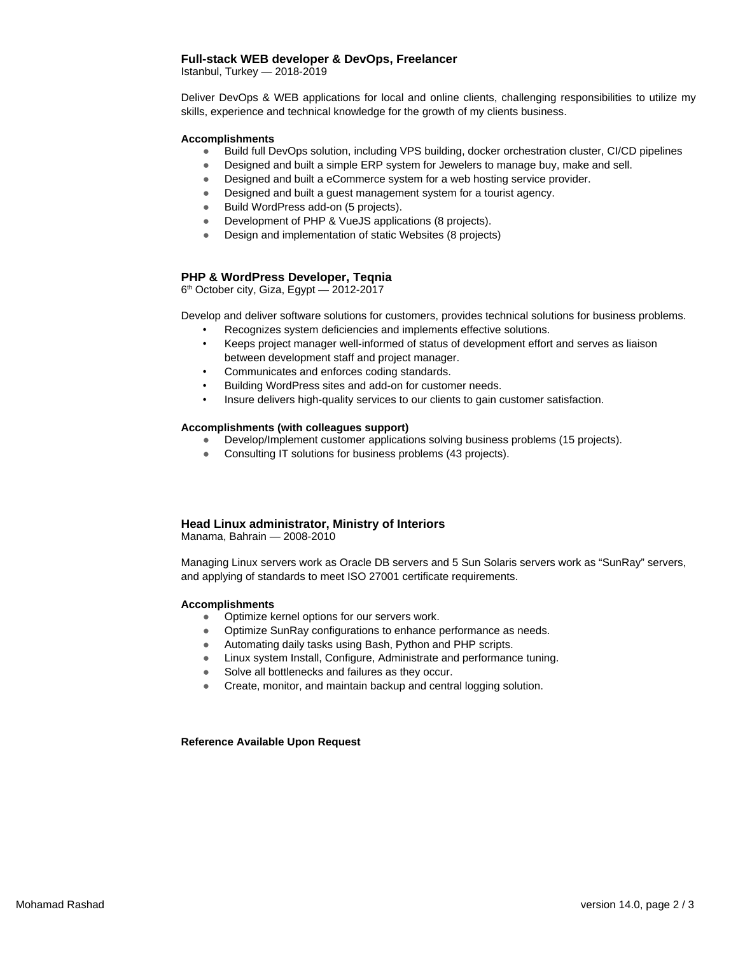## **Full-stack WEB developer & DevOps, Freelancer**

Istanbul, Turkey — 2018-2019

Deliver DevOps & WEB applications for local and online clients, challenging responsibilities to utilize my skills, experience and technical knowledge for the growth of my clients business.

#### **Accomplishments**

- Build full DevOps solution, including VPS building, docker orchestration cluster, CI/CD pipelines
- Designed and built a simple ERP system for Jewelers to manage buy, make and sell.
- Designed and built a eCommerce system for a web hosting service provider.
- Designed and built a guest management system for a tourist agency.
- Build WordPress add-on (5 projects).
- Development of PHP & VueJS applications (8 projects).
- Design and implementation of static Websites (8 projects)

#### **PHP & WordPress Developer, Teqnia**

6 th October city, Giza, Egypt — 2012-2017

Develop and deliver software solutions for customers, provides technical solutions for business problems. Recognizes system deficiencies and implements effective solutions.

- Keeps project manager well-informed of status of development effort and serves as liaison between development staff and project manager.
- Communicates and enforces coding standards.
- Building WordPress sites and add-on for customer needs.
- Insure delivers high-quality services to our clients to gain customer satisfaction.

#### **Accomplishments (with colleagues support)**

- Develop/Implement customer applications solving business problems (15 projects).
- Consulting IT solutions for business problems (43 projects).

## **Head Linux administrator, Ministry of Interiors**

Manama, Bahrain — 2008-2010

Managing Linux servers work as Oracle DB servers and 5 Sun Solaris servers work as "SunRay" servers, and applying of standards to meet ISO 27001 certificate requirements.

#### **Accomplishments**

- Optimize kernel options for our servers work.
- Optimize SunRay configurations to enhance performance as needs.
- Automating daily tasks using Bash, Python and PHP scripts.
- Linux system Install, Configure, Administrate and performance tuning.
- Solve all bottlenecks and failures as they occur.
- Create, monitor, and maintain backup and central logging solution.

**Reference Available Upon Request**